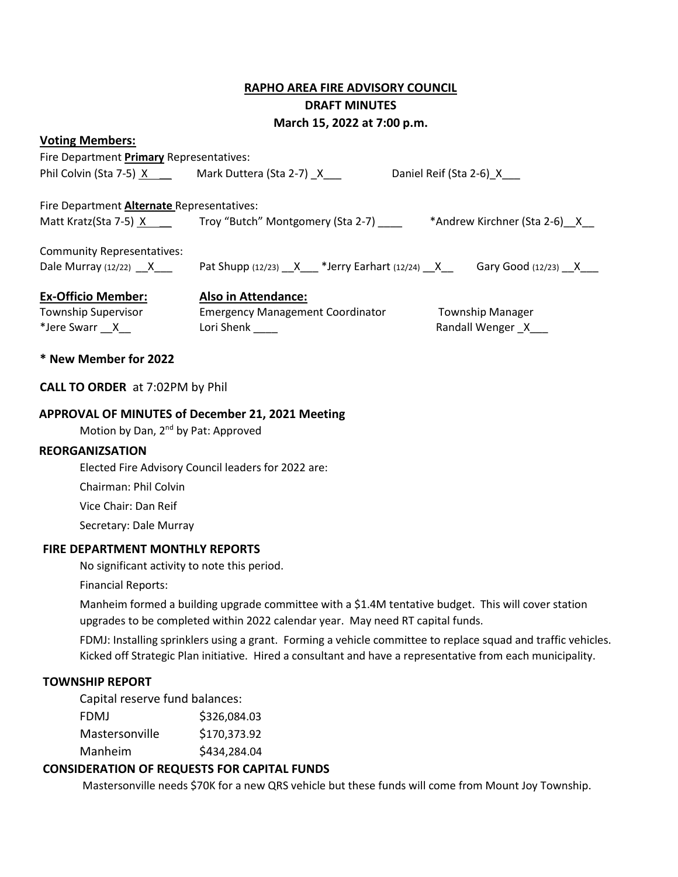# **RAPHO AREA FIRE ADVISORY COUNCIL**

# **DRAFT MINUTES**

**March 15, 2022 at 7:00 p.m.** 

#### **Voting Members:**

| Fire Department Primary Representatives:         |                                                           |                              |
|--------------------------------------------------|-----------------------------------------------------------|------------------------------|
| Phil Colvin (Sta 7-5) X Mark Duttera (Sta 2-7) X |                                                           | Daniel Reif (Sta 2-6) X      |
| Fire Department Alternate Representatives:       |                                                           |                              |
|                                                  | Matt Kratz(Sta 7-5) $X$ Troy "Butch" Montgomery (Sta 2-7) | *Andrew Kirchner (Sta 2-6) X |
| <b>Community Representatives:</b>                |                                                           |                              |
| Dale Murray $(12/22)$ X                          | Pat Shupp $(12/23)$ $X$ *Jerry Earhart $(12/24)$ $X$      | Gary Good $(12/23)$ X        |
| <b>Ex-Officio Member:</b>                        | <b>Also in Attendance:</b>                                |                              |
| <b>Township Supervisor</b>                       | <b>Emergency Management Coordinator</b>                   | <b>Township Manager</b>      |
| *Jere Swarr X                                    | Lori Shenk                                                | Randall Wenger X             |

# **\* New Member for 2022**

## **CALL TO ORDER** at 7:02PM by Phil

## **APPROVAL OF MINUTES of December 21, 2021 Meeting**

Motion by Dan, 2<sup>nd</sup> by Pat: Approved

#### **REORGANIZSATION**

Elected Fire Advisory Council leaders for 2022 are:

Chairman: Phil Colvin

Vice Chair: Dan Reif

Secretary: Dale Murray

#### **FIRE DEPARTMENT MONTHLY REPORTS**

No significant activity to note this period.

Financial Reports:

Manheim formed a building upgrade committee with a \$1.4M tentative budget. This will cover station upgrades to be completed within 2022 calendar year. May need RT capital funds.

FDMJ: Installing sprinklers using a grant. Forming a vehicle committee to replace squad and traffic vehicles. Kicked off Strategic Plan initiative. Hired a consultant and have a representative from each municipality.

#### **TOWNSHIP REPORT**

Capital reserve fund balances:

| <b>FDMJ</b>    | \$326,084.03 |
|----------------|--------------|
| Mastersonville | \$170,373.92 |
| Manheim        | \$434,284.04 |

#### **CONSIDERATION OF REQUESTS FOR CAPITAL FUNDS**

Mastersonville needs \$70K for a new QRS vehicle but these funds will come from Mount Joy Township.